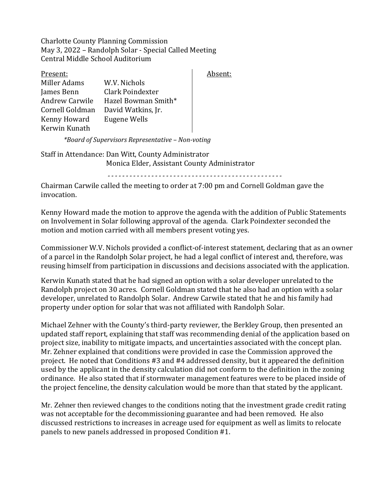Charlotte County Planning Commission May 3, 2022 – Randolph Solar - Special Called Meeting Central Middle School Auditorium

| Present:              |                     |  |
|-----------------------|---------------------|--|
| Miller Adams          | W.V. Nichols        |  |
| James Benn            | Clark Poindexter    |  |
| <b>Andrew Carwile</b> | Hazel Bowman Smith* |  |
| Cornell Goldman       | David Watkins, Jr.  |  |
| Kenny Howard          | Eugene Wells        |  |
| Kerwin Kunath         |                     |  |

*\*Board of Supervisors Representative – Non-voting*

Staff in Attendance: Dan Witt, County Administrator Monica Elder, Assistant County Administrator

*------------------------------------------------*

Absent:

Chairman Carwile called the meeting to order at 7:00 pm and Cornell Goldman gave the invocation.

Kenny Howard made the motion to approve the agenda with the addition of Public Statements on Involvement in Solar following approval of the agenda. Clark Poindexter seconded the motion and motion carried with all members present voting yes.

Commissioner W.V. Nichols provided a conflict-of-interest statement, declaring that as an owner of a parcel in the Randolph Solar project, he had a legal conflict of interest and, therefore, was reusing himself from participation in discussions and decisions associated with the application.

Kerwin Kunath stated that he had signed an option with a solar developer unrelated to the Randolph project on 30 acres. Cornell Goldman stated that he also had an option with a solar developer, unrelated to Randolph Solar. Andrew Carwile stated that he and his family had property under option for solar that was not affiliated with Randolph Solar.

Michael Zehner with the County's third-party reviewer, the Berkley Group, then presented an updated staff report, explaining that staff was recommending denial of the application based on project size, inability to mitigate impacts, and uncertainties associated with the concept plan. Mr. Zehner explained that conditions were provided in case the Commission approved the project. He noted that Conditions #3 and #4 addressed density, but it appeared the definition used by the applicant in the density calculation did not conform to the definition in the zoning ordinance. He also stated that if stormwater management features were to be placed inside of the project fenceline, the density calculation would be more than that stated by the applicant.

Mr. Zehner then reviewed changes to the conditions noting that the investment grade credit rating was not acceptable for the decommissioning guarantee and had been removed. He also discussed restrictions to increases in acreage used for equipment as well as limits to relocate panels to new panels addressed in proposed Condition #1.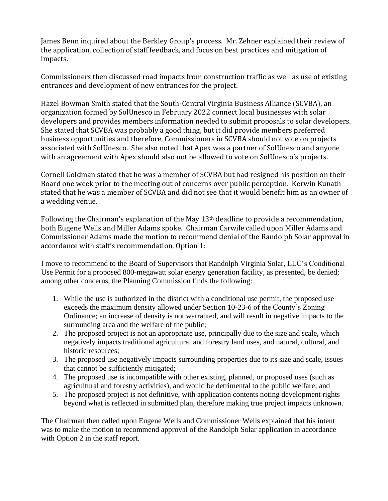James Benn inquired about the Berkley Group's process. Mr. Zehner explained their review of the application, collection of staff feedback, and focus on best practices and mitigation of impacts.

Commissioners then discussed road impacts from construction traffic as well as use of existing entrances and development of new entrances for the project.

Hazel Bowman Smith stated that the South-Central Virginia Business Alliance (SCVBA), an organization formed by SolUnesco in February 2022 connect local businesses with solar developers and provides members information needed to submit proposals to solar developers. She stated that SCVBA was probably a good thing, but it did provide members preferred business opportunities and therefore, Commissioners in SCVBA should not vote on projects associated with SolUnesco. She also noted that Apex was a partner of SolUnesco and anyone with an agreement with Apex should also not be allowed to vote on SolUnesco's projects.

Cornell Goldman stated that he was a member of SCVBA but had resigned his position on their Board one week prior to the meeting out of concerns over public perception. Kerwin Kunath stated that he was a member of SCVBA and did not see that it would benefit him as an owner of a wedding venue.

Following the Chairman's explanation of the May 13th deadline to provide a recommendation, both Eugene Wells and Miller Adams spoke. Chairman Carwile called upon Miller Adams and Commissioner Adams made the motion to recommend denial of the Randolph Solar approval in accordance with staff's recommendation, Option 1:

I move to recommend to the Board of Supervisors that Randolph Virginia Solar, LLC's Conditional Use Permit for a proposed 800-megawatt solar energy generation facility, as presented, be denied; among other concerns, the Planning Commission finds the following:

- 1. While the use is authorized in the district with a conditional use permit, the proposed use exceeds the maximum density allowed under Section 10-23-6 of the County's Zoning Ordinance; an increase of density is not warranted, and will result in negative impacts to the surrounding area and the welfare of the public;
- 2. The proposed project is not an appropriate use, principally due to the size and scale, which negatively impacts traditional agricultural and forestry land uses, and natural, cultural, and historic resources;
- 3. The proposed use negatively impacts surrounding properties due to its size and scale, issues that cannot be sufficiently mitigated;
- 4. The proposed use is incompatible with other existing, planned, or proposed uses (such as agricultural and forestry activities), and would be detrimental to the public welfare; and
- 5. The proposed project is not definitive, with application contents noting development rights beyond what is reflected in submitted plan, therefore making true project impacts unknown.

The Chairman then called upon Eugene Wells and Commissioner Wells explained that his intent was to make the motion to recommend approval of the Randolph Solar application in accordance with Option 2 in the staff report.